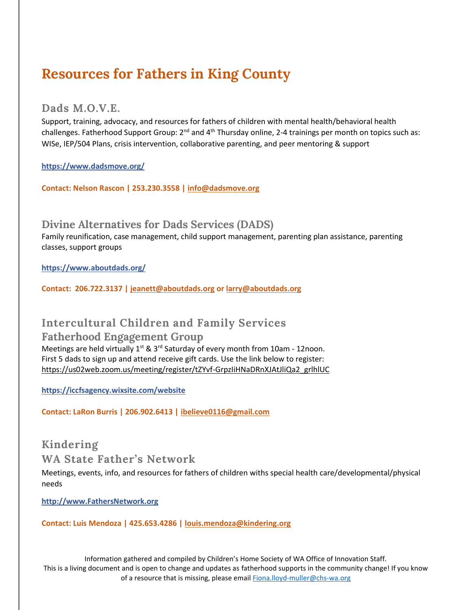# **Resources for Fathers in King County**

#### **Dads M.O.V.E.**

Support, training, advocacy, and resources for fathers of children with mental health/behavioral health challenges. Fatherhood Support Group:  $2^{nd}$  and  $4^{th}$  Thursday online, 2-4 trainings per month on topics such as: WISe, IEP/504 Plans, crisis intervention, collaborative parenting, and peer mentoring & support

**<https://www.dadsmove.org/>**

**Contact: Nelson Rascon | 253.230.3558 | [info@dadsmove.org](mailto:info@dadsmove.org)**

**Divine Alternatives for Dads Services (DADS)**

Family reunification, case management, child support management, parenting plan assistance, parenting classes, support groups

**<https://www.aboutdads.org/>**

**Contact: 206.722.3137 | [jeanett@aboutdads.org](mailto:jeanett@aboutdads.org) or [larry@aboutdads.org](mailto:larry@aboutdads.org)**

### **Intercultural Children and Family Services**

#### **Fatherhood Engagement Group**

Meetings are held virtually 1<sup>st</sup> & 3<sup>rd</sup> Saturday of every month from 10am - 12noon. First 5 dads to sign up and attend receive gift cards. Use the link below to register: [https://us02web.zoom.us/meeting/register/tZYvf-GrpzIiHNaDRnXJAtJliQa2\\_grlhlUC](https://us02web.zoom.us/meeting/register/tZYvf-GrpzIiHNaDRnXJAtJliQa2_grlhlUC)

**<https://iccfsagency.wixsite.com/website>**

**Contact: LaRon Burris | 206.902.6413 | [ibelieve0116@gmail.com](mailto:ibelieve0116@gmail.com)**

### **Kindering**

**WA State Father's Network** 

Meetings, events, info, and resources for fathers of children withs special health care/developmental/physical needs

**[http://www.FathersNetwork.org](http://www.fathersnetwork.org/)**

**Contact: Luis Mendoza | 425.653.4286 | [louis.mendoza@kindering.org](mailto:louis.mendoza@kindering.org)**

Information gathered and compiled by Children's Home Society of WA Office of Innovation Staff. This is a living document and is open to change and updates as fatherhood supports in the community change! If you know of a resource that is missing, please email [Fiona.lloyd-muller@chs-wa.org](mailto:Fiona.lloyd-muller@chs-wa.org)